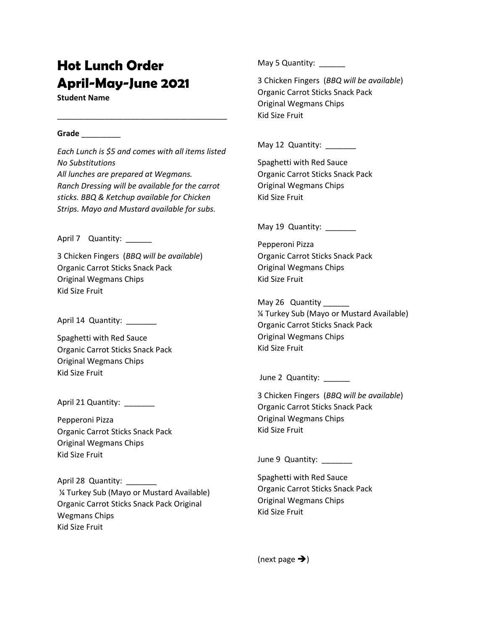## **Hot Lunch Order April-May-June 2021**

**Student Name** 

## **Grade** \_\_\_\_\_\_\_\_\_

*Each Lunch is \$5 and comes with all items listed No Substitutions All lunches are prepared at Wegmans. Ranch Dressing will be available for the carrot sticks. BBQ & Ketchup available for Chicken Strips. Mayo and Mustard available for subs.*

\_\_\_\_\_\_\_\_\_\_\_\_\_\_\_\_\_\_\_\_\_\_\_\_\_\_\_\_\_\_\_\_\_\_\_\_\_\_\_

April 7 Quantity:

3 Chicken Fingers (*BBQ will be available*) Organic Carrot Sticks Snack Pack Original Wegmans Chips Kid Size Fruit

April 14 Quantity: \_\_\_\_\_\_\_

Spaghetti with Red Sauce Organic Carrot Sticks Snack Pack Original Wegmans Chips Kid Size Fruit

April 21 Quantity: \_\_\_\_\_\_

Pepperoni Pizza Organic Carrot Sticks Snack Pack Original Wegmans Chips Kid Size Fruit

April 28 Quantity: ¼ Turkey Sub (Mayo or Mustard Available) Organic Carrot Sticks Snack Pack Original Wegmans Chips Kid Size Fruit

May 5 Quantity: \_\_\_\_\_\_

3 Chicken Fingers (*BBQ will be available*) Organic Carrot Sticks Snack Pack Original Wegmans Chips Kid Size Fruit

May 12 Quantity:

Spaghetti with Red Sauce Organic Carrot Sticks Snack Pack Original Wegmans Chips Kid Size Fruit

May 19 Quantity: \_\_\_\_\_\_

Pepperoni Pizza Organic Carrot Sticks Snack Pack Original Wegmans Chips Kid Size Fruit

May 26 Quantity ¼ Turkey Sub (Mayo or Mustard Available) Organic Carrot Sticks Snack Pack Original Wegmans Chips Kid Size Fruit

June 2 Quantity: \_\_\_\_\_\_

3 Chicken Fingers (*BBQ will be available*) Organic Carrot Sticks Snack Pack Original Wegmans Chips Kid Size Fruit

June 9 Quantity: \_\_\_\_\_\_\_

Spaghetti with Red Sauce Organic Carrot Sticks Snack Pack Original Wegmans Chips Kid Size Fruit